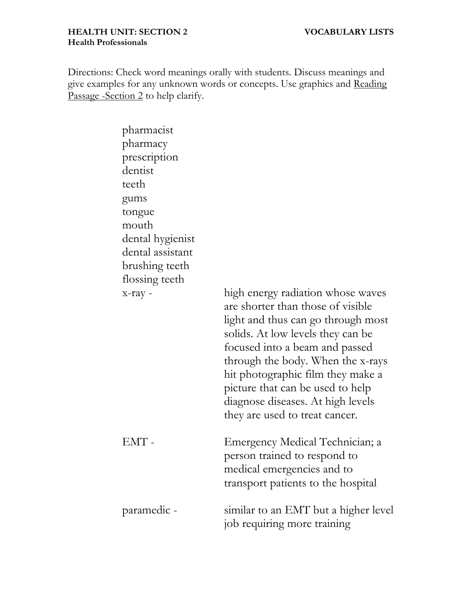Directions: Check word meanings orally with students. Discuss meanings and give examples for any unknown words or concepts. Use graphics and Reading Passage -Section 2 to help clarify.

| pharmacist<br>pharmacy<br>prescription<br>dentist<br>teeth<br>gums<br>tongue<br>mouth<br>dental hygienist<br>dental assistant<br>brushing teeth<br>flossing teeth<br>$x$ -ray - | high energy radiation whose waves<br>are shorter than those of visible<br>light and thus can go through most<br>solids. At low levels they can be<br>focused into a beam and passed<br>through the body. When the x-rays<br>hit photographic film they make a<br>picture that can be used to help<br>diagnose diseases. At high levels<br>they are used to treat cancer. |
|---------------------------------------------------------------------------------------------------------------------------------------------------------------------------------|--------------------------------------------------------------------------------------------------------------------------------------------------------------------------------------------------------------------------------------------------------------------------------------------------------------------------------------------------------------------------|
| $EMT -$                                                                                                                                                                         | Emergency Medical Technician; a<br>person trained to respond to<br>medical emergencies and to<br>transport patients to the hospital                                                                                                                                                                                                                                      |
| paramedic -                                                                                                                                                                     | similar to an EMT but a higher level<br>job requiring more training                                                                                                                                                                                                                                                                                                      |